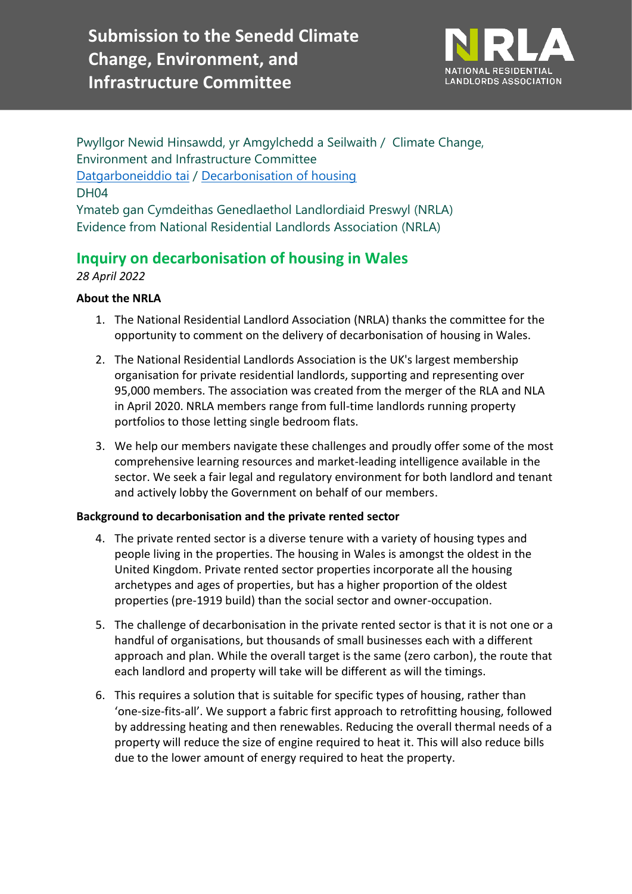**Submission to the Senedd Climate Change, Environment, and Infrastructure Committee**



Pwyllgor Newid Hinsawdd, yr Amgylchedd a Seilwaith / Climate Change, Environment and Infrastructure Committee [Datgarboneiddio tai](https://busnes.senedd.cymru/mgIssueHistoryHome.aspx?IId=39102) / [Decarbonisation of housing](https://business.senedd.wales/mgIssueHistoryHome.aspx?IId=39102) DH04 Ymateb gan Cymdeithas Genedlaethol Landlordiaid Preswyl (NRLA) Evidence from National Residential Landlords Association (NRLA)

# **Inquiry on decarbonisation of housing in Wales**

*28 April 2022*

# **About the NRLA**

- 1. The National Residential Landlord Association (NRLA) thanks the committee for the opportunity to comment on the delivery of decarbonisation of housing in Wales.
- 2. The National Residential Landlords Association is the UK's largest membership organisation for private residential landlords, supporting and representing over 95,000 members. The association was created from the merger of the RLA and NLA in April 2020. NRLA members range from full-time landlords running property portfolios to those letting single bedroom flats.
- 3. We help our members navigate these challenges and proudly offer some of the most comprehensive learning resources and market-leading intelligence available in the sector. We seek a fair legal and regulatory environment for both landlord and tenant and actively lobby the Government on behalf of our members.

## **Background to decarbonisation and the private rented sector**

- 4. The private rented sector is a diverse tenure with a variety of housing types and people living in the properties. The housing in Wales is amongst the oldest in the United Kingdom. Private rented sector properties incorporate all the housing archetypes and ages of properties, but has a higher proportion of the oldest properties (pre-1919 build) than the social sector and owner-occupation.
- 5. The challenge of decarbonisation in the private rented sector is that it is not one or a handful of organisations, but thousands of small businesses each with a different approach and plan. While the overall target is the same (zero carbon), the route that each landlord and property will take will be different as will the timings.
- 6. This requires a solution that is suitable for specific types of housing, rather than 'one-size-fits-all'. We support a fabric first approach to retrofitting housing, followed by addressing heating and then renewables. Reducing the overall thermal needs of a property will reduce the size of engine required to heat it. This will also reduce bills due to the lower amount of energy required to heat the property.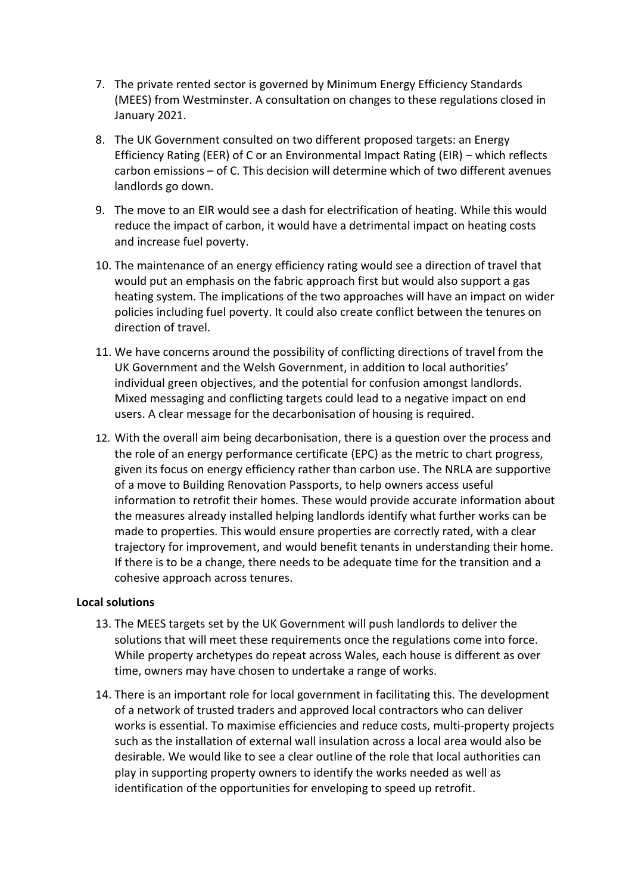- 7. The private rented sector is governed by Minimum Energy Efficiency Standards (MEES) from Westminster. A consultation on changes to these regulations closed in January 2021.
- 8. The UK Government consulted on two different proposed targets: an Energy Efficiency Rating (EER) of C or an Environmental Impact Rating (EIR) – which reflects carbon emissions – of C. This decision will determine which of two different avenues landlords go down.
- 9. The move to an EIR would see a dash for electrification of heating. While this would reduce the impact of carbon, it would have a detrimental impact on heating costs and increase fuel poverty.
- 10. The maintenance of an energy efficiency rating would see a direction of travel that would put an emphasis on the fabric approach first but would also support a gas heating system. The implications of the two approaches will have an impact on wider policies including fuel poverty. It could also create conflict between the tenures on direction of travel.
- 11. We have concerns around the possibility of conflicting directions of travel from the UK Government and the Welsh Government, in addition to local authorities' individual green objectives, and the potential for confusion amongst landlords. Mixed messaging and conflicting targets could lead to a negative impact on end users. A clear message for the decarbonisation of housing is required.
- 12. With the overall aim being decarbonisation, there is a question over the process and the role of an energy performance certificate (EPC) as the metric to chart progress, given its focus on energy efficiency rather than carbon use. The NRLA are supportive of a move to Building Renovation Passports, to help owners access useful information to retrofit their homes. These would provide accurate information about the measures already installed helping landlords identify what further works can be made to properties. This would ensure properties are correctly rated, with a clear trajectory for improvement, and would benefit tenants in understanding their home. If there is to be a change, there needs to be adequate time for the transition and a cohesive approach across tenures.

#### **Local solutions**

- 13. The MEES targets set by the UK Government will push landlords to deliver the solutions that will meet these requirements once the regulations come into force. While property archetypes do repeat across Wales, each house is different as over time, owners may have chosen to undertake a range of works.
- 14. There is an important role for local government in facilitating this. The development of a network of trusted traders and approved local contractors who can deliver works is essential. To maximise efficiencies and reduce costs, multi-property projects such as the installation of external wall insulation across a local area would also be desirable. We would like to see a clear outline of the role that local authorities can play in supporting property owners to identify the works needed as well as identification of the opportunities for enveloping to speed up retrofit.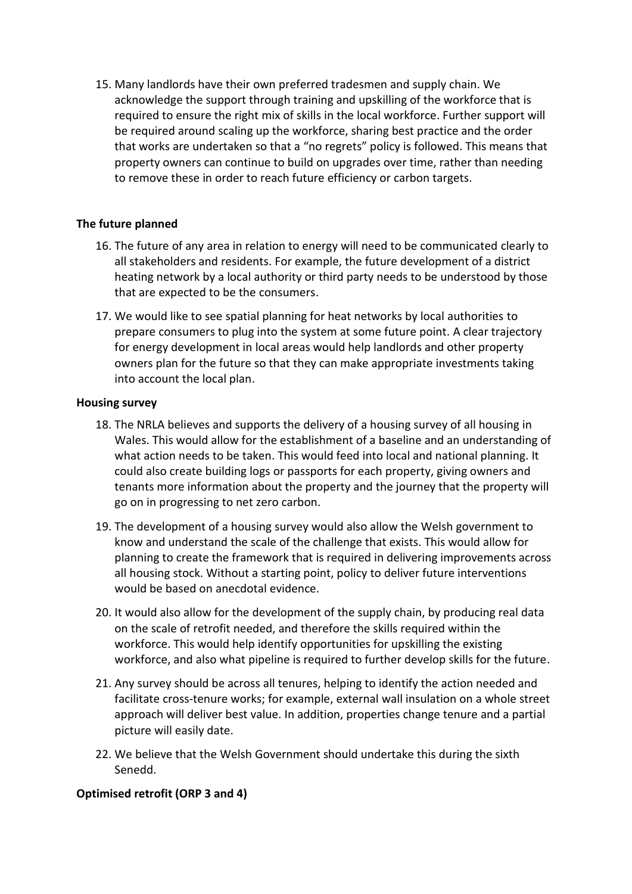15. Many landlords have their own preferred tradesmen and supply chain. We acknowledge the support through training and upskilling of the workforce that is required to ensure the right mix of skills in the local workforce. Further support will be required around scaling up the workforce, sharing best practice and the order that works are undertaken so that a "no regrets" policy is followed. This means that property owners can continue to build on upgrades over time, rather than needing to remove these in order to reach future efficiency or carbon targets.

#### **The future planned**

- 16. The future of any area in relation to energy will need to be communicated clearly to all stakeholders and residents. For example, the future development of a district heating network by a local authority or third party needs to be understood by those that are expected to be the consumers.
- 17. We would like to see spatial planning for heat networks by local authorities to prepare consumers to plug into the system at some future point. A clear trajectory for energy development in local areas would help landlords and other property owners plan for the future so that they can make appropriate investments taking into account the local plan.

#### **Housing survey**

- 18. The NRLA believes and supports the delivery of a housing survey of all housing in Wales. This would allow for the establishment of a baseline and an understanding of what action needs to be taken. This would feed into local and national planning. It could also create building logs or passports for each property, giving owners and tenants more information about the property and the journey that the property will go on in progressing to net zero carbon.
- 19. The development of a housing survey would also allow the Welsh government to know and understand the scale of the challenge that exists. This would allow for planning to create the framework that is required in delivering improvements across all housing stock. Without a starting point, policy to deliver future interventions would be based on anecdotal evidence.
- 20. It would also allow for the development of the supply chain, by producing real data on the scale of retrofit needed, and therefore the skills required within the workforce. This would help identify opportunities for upskilling the existing workforce, and also what pipeline is required to further develop skills for the future.
- 21. Any survey should be across all tenures, helping to identify the action needed and facilitate cross-tenure works; for example, external wall insulation on a whole street approach will deliver best value. In addition, properties change tenure and a partial picture will easily date.
- 22. We believe that the Welsh Government should undertake this during the sixth Senedd.

## **Optimised retrofit (ORP 3 and 4)**